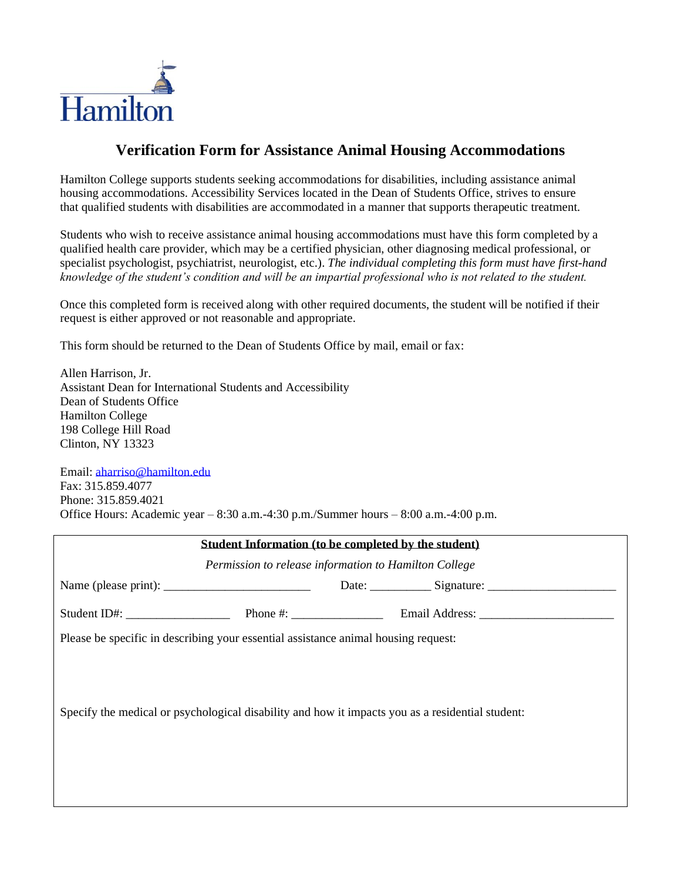

## **Verification Form for Assistance Animal Housing Accommodations**

Hamilton College supports students seeking accommodations for disabilities, including assistance animal housing accommodations. Accessibility Services located in the Dean of Students Office, strives to ensure that qualified students with disabilities are accommodated in a manner that supports therapeutic treatment.

Students who wish to receive assistance animal housing accommodations must have this form completed by a qualified health care provider, which may be a certified physician, other diagnosing medical professional, or specialist psychologist, psychiatrist, neurologist, etc.). *The individual completing this form must have first-hand knowledge of the student's condition and will be an impartial professional who is not related to the student.*

Once this completed form is received along with other required documents, the student will be notified if their request is either approved or not reasonable and appropriate.

This form should be returned to the Dean of Students Office by mail, email or fax:

Allen Harrison, Jr. Assistant Dean for International Students and Accessibility Dean of Students Office Hamilton College 198 College Hill Road Clinton, NY 13323

Email: [aharriso@hamilton.edu](mailto:aharriso@hamilton.edu) Fax: 315.859.4077 Phone: 315.859.4021 Office Hours: Academic year – 8:30 a.m.-4:30 p.m./Summer hours – 8:00 a.m.-4:00 p.m.

| Student Information (to be completed by the student)                                             |  |  |  |  |
|--------------------------------------------------------------------------------------------------|--|--|--|--|
| Permission to release information to Hamilton College                                            |  |  |  |  |
|                                                                                                  |  |  |  |  |
|                                                                                                  |  |  |  |  |
| Please be specific in describing your essential assistance animal housing request:               |  |  |  |  |
| Specify the medical or psychological disability and how it impacts you as a residential student: |  |  |  |  |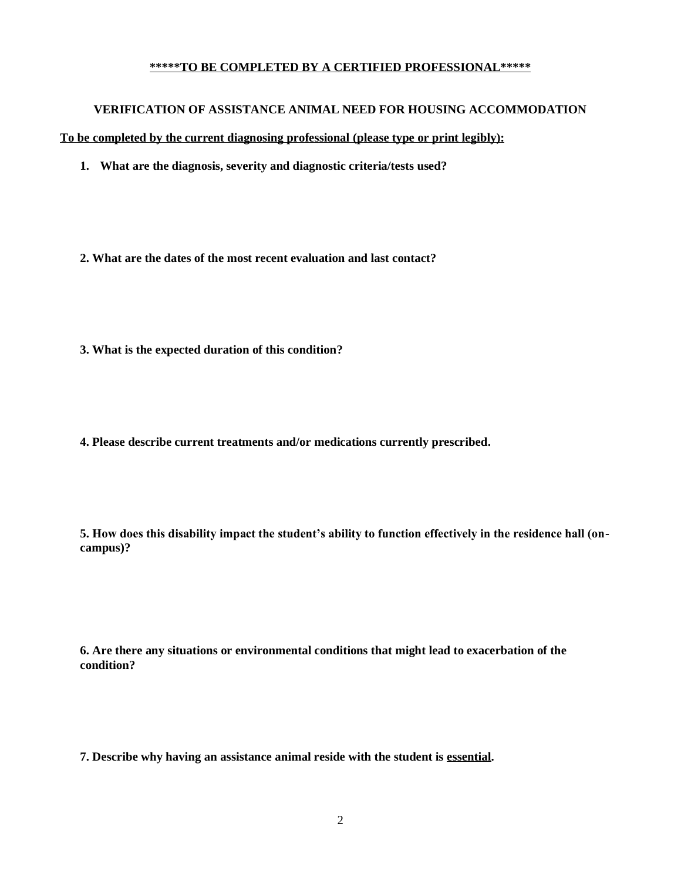## **\*\*\*\*\*TO BE COMPLETED BY A CERTIFIED PROFESSIONAL\*\*\*\*\***

## **VERIFICATION OF ASSISTANCE ANIMAL NEED FOR HOUSING ACCOMMODATION**

**To be completed by the current diagnosing professional (please type or print legibly):**

- **1. What are the diagnosis, severity and diagnostic criteria/tests used?**
- **2. What are the dates of the most recent evaluation and last contact?**
- **3. What is the expected duration of this condition?**
- **4. Please describe current treatments and/or medications currently prescribed.**

**5. How does this disability impact the student's ability to function effectively in the residence hall (oncampus)?**

**6. Are there any situations or environmental conditions that might lead to exacerbation of the condition?**

**7. Describe why having an assistance animal reside with the student is essential.**